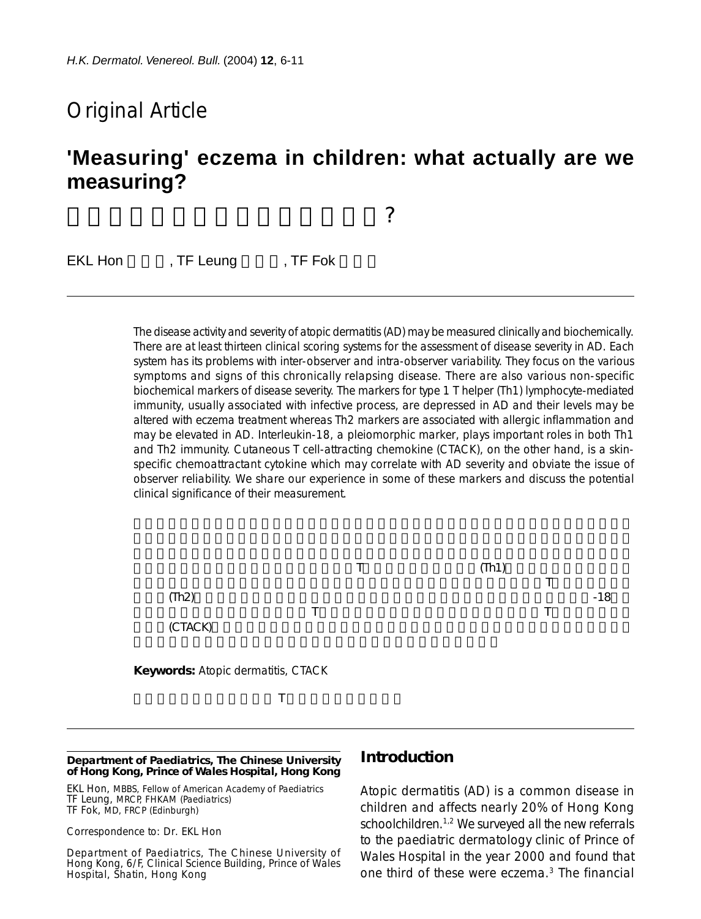# Original Article

# **'Measuring' eczema in children: what actually are we measuring?**

兒童濕疹的評估:我們用甚麼衡量?

EKL Hon , TF Leung , TF Fok

The disease activity and severity of atopic dermatitis (AD) may be measured clinically and biochemically. There are at least thirteen clinical scoring systems for the assessment of disease severity in AD. Each system has its problems with inter-observer and intra-observer variability. They focus on the various symptoms and signs of this chronically relapsing disease. There are also various non-specific biochemical markers of disease severity. The markers for type 1 T helper (Th1) lymphocyte-mediated immunity, usually associated with infective process, are depressed in AD and their levels may be altered with eczema treatment whereas Th2 markers are associated with allergic inflammation and may be elevated in AD. Interleukin-18, a pleiomorphic marker, plays important roles in both Th1 and Th2 immunity. Cutaneous T cell-attracting chemokine (CTACK), on the other hand, is a skinspecific chemoattractant cytokine which may correlate with AD severity and obviate the issue of observer reliability. We share our experience in some of these markers and discuss the potential clinical significance of their measurement.



#### **Department of Paediatrics, The Chinese University of Hong Kong, Prince of Wales Hospital, Hong Kong**

EKL Hon, MBBS, Fellow of American Academy of Paediatrics TF Leung, MRCP, FHKAM (Paediatrics) TF Fok, MD, FRCP (Edinburgh)

#### Correspondence to: Dr. EKL Hon

Department of Paediatrics, The Chinese University of Hong Kong, 6/F, Clinical Science Building, Prince of Wales Hospital, Shatin, Hong Kong

#### **Introduction**

Atopic dermatitis (AD) is a common disease in children and affects nearly 20% of Hong Kong schoolchildren.<sup>1,2</sup> We surveyed all the new referrals to the paediatric dermatology clinic of Prince of Wales Hospital in the year 2000 and found that one third of these were eczema.3 The financial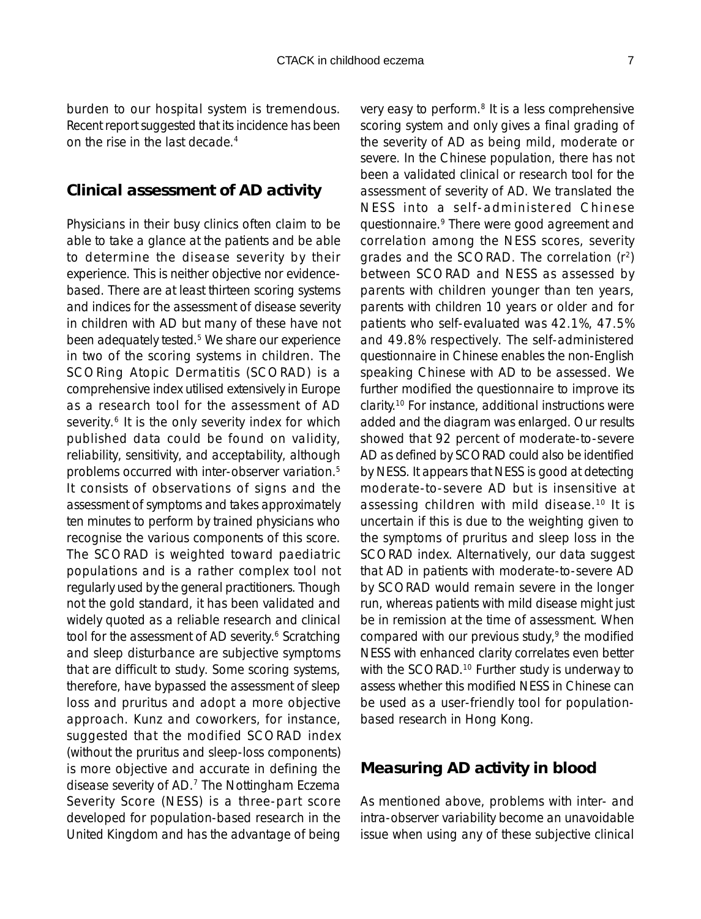burden to our hospital system is tremendous. Recent report suggested that its incidence has been on the rise in the last decade.4

## **Clinical assessment of AD activity**

Physicians in their busy clinics often claim to be able to take a glance at the patients and be able to determine the disease severity by their experience. This is neither objective nor evidencebased. There are at least thirteen scoring systems and indices for the assessment of disease severity in children with AD but many of these have not been adequately tested.<sup>5</sup> We share our experience in two of the scoring systems in children. The SCORing Atopic Dermatitis (SCORAD) is a comprehensive index utilised extensively in Europe as a research tool for the assessment of AD severity.<sup>6</sup> It is the only severity index for which published data could be found on validity, reliability, sensitivity, and acceptability, although problems occurred with inter-observer variation.5 It consists of observations of signs and the assessment of symptoms and takes approximately ten minutes to perform by trained physicians who recognise the various components of this score. The SCORAD is weighted toward paediatric populations and is a rather complex tool not regularly used by the general practitioners. Though not the gold standard, it has been validated and widely quoted as a reliable research and clinical tool for the assessment of AD severity.<sup>6</sup> Scratching and sleep disturbance are subjective symptoms that are difficult to study. Some scoring systems, therefore, have bypassed the assessment of sleep loss and pruritus and adopt a more objective approach. Kunz and coworkers, for instance, suggested that the modified SCORAD index (without the pruritus and sleep-loss components) is more objective and accurate in defining the disease severity of AD.7 The Nottingham Eczema Severity Score (NESS) is a three-part score developed for population-based research in the United Kingdom and has the advantage of being

very easy to perform.<sup>8</sup> It is a less comprehensive scoring system and only gives a final grading of the severity of AD as being mild, moderate or severe. In the Chinese population, there has not been a validated clinical or research tool for the assessment of severity of AD. We translated the NESS into a self-administered Chinese questionnaire.9 There were good agreement and correlation among the NESS scores, severity grades and the SCORAD. The correlation (r2) between SCORAD and NESS as assessed by parents with children younger than ten years, parents with children 10 years or older and for patients who self-evaluated was 42.1%, 47.5% and 49.8% respectively. The self-administered questionnaire in Chinese enables the non-English speaking Chinese with AD to be assessed. We further modified the questionnaire to improve its clarity.10 For instance, additional instructions were added and the diagram was enlarged. Our results showed that 92 percent of moderate-to-severe AD as defined by SCORAD could also be identified by NESS. It appears that NESS is good at detecting moderate-to-severe AD but is insensitive at assessing children with mild disease.10 It is uncertain if this is due to the weighting given to the symptoms of pruritus and sleep loss in the SCORAD index. Alternatively, our data suggest that AD in patients with moderate-to-severe AD by SCORAD would remain severe in the longer run, whereas patients with mild disease might just be in remission at the time of assessment. When compared with our previous study,<sup>9</sup> the modified NESS with enhanced clarity correlates even better with the SCORAD.<sup>10</sup> Further study is underway to assess whether this modified NESS in Chinese can be used as a user-friendly tool for populationbased research in Hong Kong.

## **Measuring AD activity in blood**

As mentioned above, problems with inter- and intra-observer variability become an unavoidable issue when using any of these subjective clinical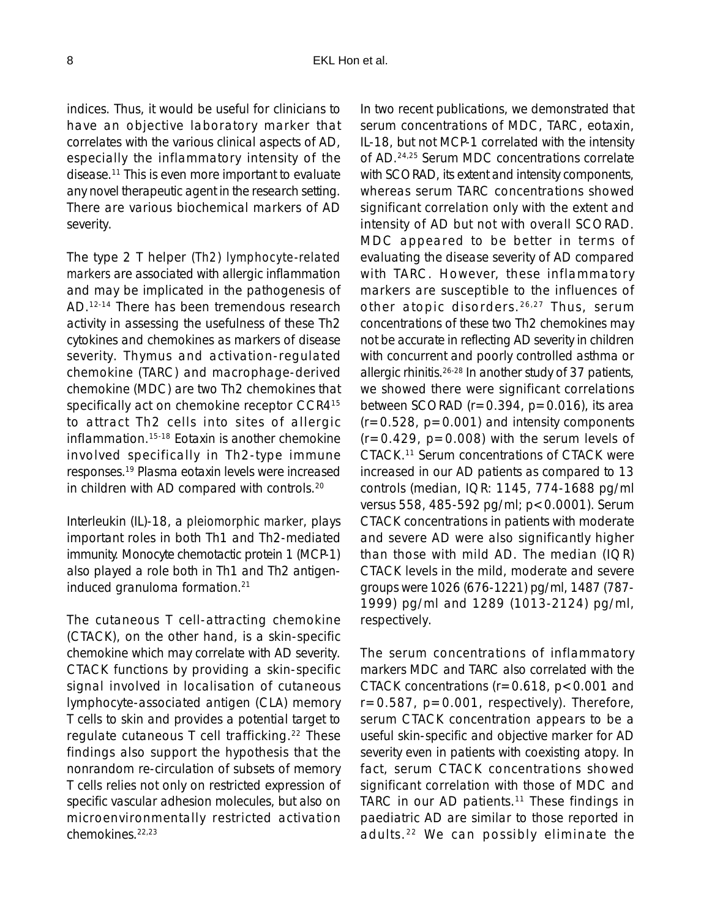indices. Thus, it would be useful for clinicians to have an objective laboratory marker that correlates with the various clinical aspects of AD, especially the inflammatory intensity of the disease.11 This is even more important to evaluate any novel therapeutic agent in the research setting. There are various biochemical markers of AD severity.

The type 2 T helper (*Th2*) *lymphocyte-related markers* are associated with allergic inflammation and may be implicated in the pathogenesis of AD.12-14 There has been tremendous research activity in assessing the usefulness of these Th2 cytokines and chemokines as markers of disease severity. Thymus and activation-regulated chemokine (TARC) and macrophage-derived chemokine (MDC) are two Th2 chemokines that specifically act on chemokine receptor CCR4<sup>15</sup> to attract Th2 cells into sites of allergic inflammation.15-18 Eotaxin is another chemokine involved specifically in Th2-type immune responses.19 Plasma eotaxin levels were increased in children with AD compared with controls.20

Interleukin (IL)-18, a *pleiomorphic marker*, plays important roles in both Th1 and Th2-mediated immunity. Monocyte chemotactic protein 1 (MCP-1) also played a role both in Th1 and Th2 antigeninduced granuloma formation.21

The cutaneous T cell-attracting chemokine (CTACK), on the other hand, is a skin-specific chemokine which may correlate with AD severity. CTACK functions by providing a skin-specific signal involved in localisation of cutaneous lymphocyte-associated antigen (CLA) memory T cells to skin and provides a potential target to regulate cutaneous T cell trafficking.22 These findings also support the hypothesis that the nonrandom re-circulation of subsets of memory T cells relies not only on restricted expression of specific vascular adhesion molecules, but also on microenvironmentally restricted activation chemokines.22,23

In two recent publications, we demonstrated that serum concentrations of MDC, TARC, eotaxin, IL-18, but not MCP-1 correlated with the intensity of AD.24,25 Serum MDC concentrations correlate with SCORAD, its extent and intensity components, whereas serum TARC concentrations showed significant correlation only with the extent and intensity of AD but not with overall SCORAD. MDC appeared to be better in terms of evaluating the disease severity of AD compared with TARC. However, these inflammatory markers are susceptible to the influences of other atopic disorders. 26,27 Thus, serum concentrations of these two Th2 chemokines may not be accurate in reflecting AD severity in children with concurrent and poorly controlled asthma or allergic rhinitis.26-28 In another study of 37 patients, we showed there were significant correlations between SCORAD ( $r=0.394$ ,  $p=0.016$ ), its area  $(r=0.528, p=0.001)$  and intensity components  $(r=0.429, p=0.008)$  with the serum levels of CTACK.11 Serum concentrations of CTACK were increased in our AD patients as compared to 13 controls (median, IQR: 1145, 774-1688 pg/ml versus 558, 485-592 pg/ml; p<0.0001). Serum CTACK concentrations in patients with moderate and severe AD were also significantly higher than those with mild AD. The median (IQR) CTACK levels in the mild, moderate and severe groups were 1026 (676-1221) pg/ml, 1487 (787- 1999) pg/ml and 1289 (1013-2124) pg/ml, respectively.

The serum concentrations of inflammatory markers MDC and TARC also correlated with the CTACK concentrations ( $r=0.618$ ,  $p<0.001$  and  $r=0.587$ ,  $p=0.001$ , respectively). Therefore, serum CTACK concentration appears to be a useful skin-specific and objective marker for AD severity even in patients with coexisting atopy. In fact, serum CTACK concentrations showed significant correlation with those of MDC and TARC in our AD patients.<sup>11</sup> These findings in paediatric AD are similar to those reported in adults. 22 We can possibly eliminate the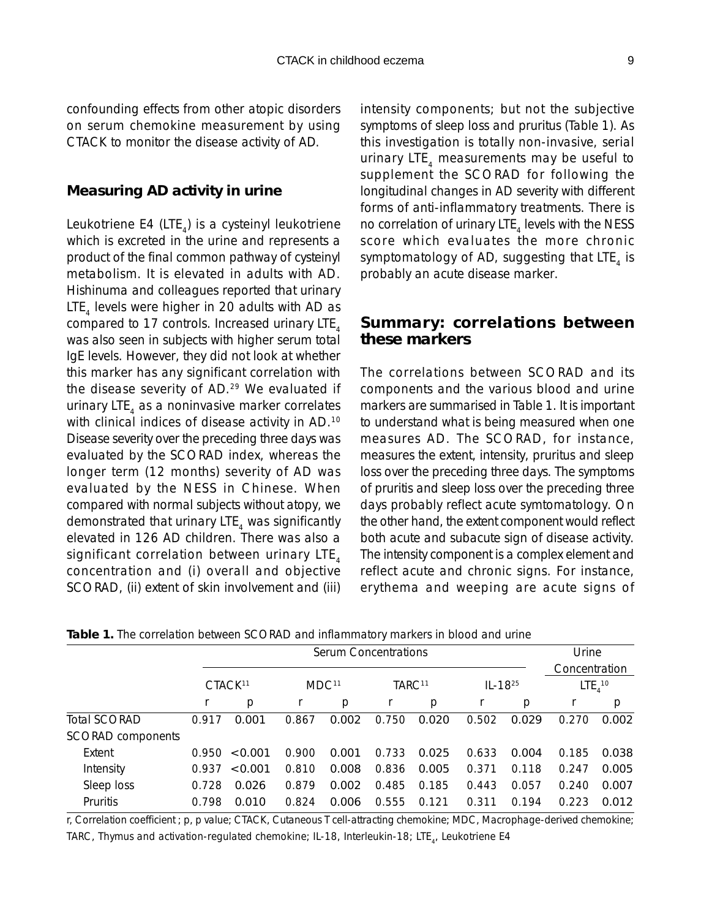confounding effects from other atopic disorders on serum chemokine measurement by using CTACK to monitor the disease activity of AD.

### **Measuring AD activity in urine**

Leukotriene E4 (LTE $_{4}$ ) is a cysteinyl leukotriene which is excreted in the urine and represents a product of the final common pathway of cysteinyl metabolism. It is elevated in adults with AD. Hishinuma and colleagues reported that urinary  $LTE<sub>a</sub>$  levels were higher in 20 adults with AD as compared to 17 controls. Increased urinary LTE<sub>4</sub> was also seen in subjects with higher serum total IgE levels. However, they did not look at whether this marker has any significant correlation with the disease severity of AD.<sup>29</sup> We evaluated if urinary LTE, as a noninvasive marker correlates with clinical indices of disease activity in AD.10 Disease severity over the preceding three days was evaluated by the SCORAD index, whereas the longer term (12 months) severity of AD was evaluated by the NESS in Chinese. When compared with normal subjects without atopy, we demonstrated that urinary LTE<sub> $<sub>4</sub>$  was significantly</sub></sub> elevated in 126 AD children. There was also a significant correlation between urinary LTE, concentration and (i) overall and objective SCORAD, (ii) extent of skin involvement and (iii)

intensity components; but not the subjective symptoms of sleep loss and pruritus (Table 1). As this investigation is totally non-invasive, serial urinary LTE $_{4}$  measurements may be useful to supplement the SCORAD for following the longitudinal changes in AD severity with different forms of anti-inflammatory treatments. There is no correlation of urinary LTE<sub> $4$ </sub> levels with the NESS score which evaluates the more chronic symptomatology of AD, suggesting that LTE, is probably an acute disease marker.

# **Summary: correlations between these markers**

The correlations between SCORAD and its components and the various blood and urine markers are summarised in Table 1. It is important to understand what is being measured when one measures AD. The SCORAD, for instance, measures the extent, intensity, pruritus and sleep loss over the preceding three days. The symptoms of pruritis and sleep loss over the preceding three days probably reflect acute symtomatology. On the other hand, the extent component would reflect both acute and subacute sign of disease activity. The intensity component is a complex element and reflect acute and chronic signs. For instance, erythema and weeping are acute signs of

|                          | Serum Concentrations |         |                   |       |                    |       |             |       | Urine              |               |  |
|--------------------------|----------------------|---------|-------------------|-------|--------------------|-------|-------------|-------|--------------------|---------------|--|
|                          |                      |         |                   |       |                    |       |             |       |                    | Concentration |  |
|                          | CTACK <sup>11</sup>  |         | MDC <sup>11</sup> |       | TARC <sup>11</sup> |       | $IL - 1825$ |       | LTE <sub>410</sub> |               |  |
|                          |                      | p       |                   | p     |                    | р     |             | p     |                    | p             |  |
| Total SCORAD             | 0.917                | 0.001   | 0.867             | 0.002 | 0.750              | 0.020 | 0.502       | 0.029 | 0.270              | 0.002         |  |
| <b>SCORAD components</b> |                      |         |                   |       |                    |       |             |       |                    |               |  |
| Extent                   | 0.950                | < 0.001 | 0.900             | 0.001 | 0.733              | 0.025 | 0.633       | 0.004 | 0.185              | 0.038         |  |
| Intensity                | 0.937                | < 0.001 | 0.810             | 0.008 | 0.836              | 0.005 | 0.371       | 0.118 | 0.247              | 0.005         |  |
| Sleep loss               | 0.728                | 0.026   | 0.879             | 0.002 | 0.485              | 0.185 | 0.443       | 0.057 | 0.240              | 0.007         |  |
| Pruritis                 | 0.798                | 0.010   | 0.824             | 0.006 | 0.555              | 0.121 | 0.311       | 0.194 | 0.223              | 0.012         |  |

**Table 1.** The correlation between SCORAD and inflammatory markers in blood and urine

r, Correlation coefficient ; p, p value; CTACK, Cutaneous T cell-attracting chemokine; MDC, Macrophage-derived chemokine; TARC, Thymus and activation-regulated chemokine; IL-18, Interleukin-18; LTE<sub>4</sub>, Leukotriene E4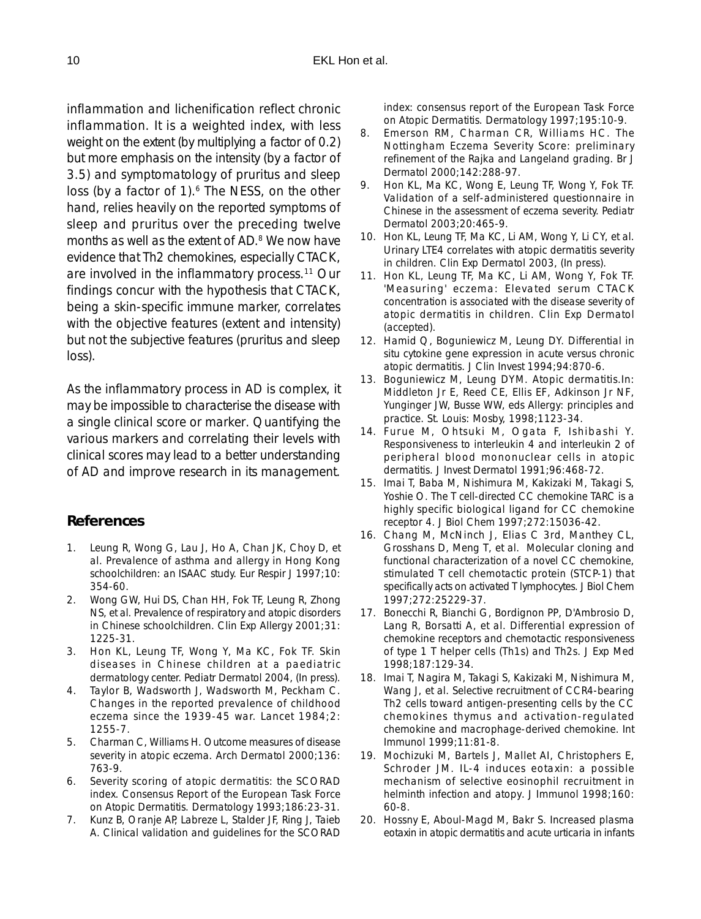inflammation and lichenification reflect chronic inflammation. It is a weighted index, with less weight on the extent (by multiplying a factor of 0.2) but more emphasis on the intensity (by a factor of 3.5) and symptomatology of pruritus and sleep loss (by a factor of 1).<sup>6</sup> The NESS, on the other hand, relies heavily on the reported symptoms of sleep and pruritus over the preceding twelve months as well as the extent of AD.<sup>8</sup> We now have evidence that Th2 chemokines, especially CTACK, are involved in the inflammatory process.<sup>11</sup> Our findings concur with the hypothesis that CTACK, being a skin-specific immune marker, correlates with the objective features (extent and intensity) but not the subjective features (pruritus and sleep loss).

As the inflammatory process in AD is complex, it may be impossible to characterise the disease with a single clinical score or marker. Quantifying the various markers and correlating their levels with clinical scores may lead to a better understanding of AD and improve research in its management.

### **References**

- 1. Leung R, Wong G, Lau J, Ho A, Chan JK, Choy D, et al. Prevalence of asthma and allergy in Hong Kong schoolchildren: an ISAAC study. Eur Respir J 1997;10: 354-60.
- 2. Wong GW, Hui DS, Chan HH, Fok TF, Leung R, Zhong NS, et al. Prevalence of respiratory and atopic disorders in Chinese schoolchildren. Clin Exp Allergy 2001;31: 1225-31.
- 3. Hon KL, Leung TF, Wong Y, Ma KC, Fok TF. Skin diseases in Chinese children at a paediatric dermatology center. Pediatr Dermatol 2004, (In press).
- 4. Taylor B, Wadsworth J, Wadsworth M, Peckham C. Changes in the reported prevalence of childhood eczema since the 1939-45 war. Lancet 1984;2: 1255-7.
- 5. Charman C, Williams H. Outcome measures of disease severity in atopic eczema. Arch Dermatol 2000;136: 763-9.
- 6. Severity scoring of atopic dermatitis: the SCORAD index. Consensus Report of the European Task Force on Atopic Dermatitis. Dermatology 1993;186:23-31.
- 7. Kunz B, Oranje AP, Labreze L, Stalder JF, Ring J, Taieb A. Clinical validation and guidelines for the SCORAD

index: consensus report of the European Task Force on Atopic Dermatitis. Dermatology 1997;195:10-9.

- 8. Emerson RM, Charman CR, Williams HC. The Nottingham Eczema Severity Score: preliminary refinement of the Rajka and Langeland grading. Br J Dermatol 2000;142:288-97.
- 9. Hon KL, Ma KC, Wong E, Leung TF, Wong Y, Fok TF. Validation of a self-administered questionnaire in Chinese in the assessment of eczema severity. Pediatr Dermatol 2003;20:465-9.
- 10. Hon KL, Leung TF, Ma KC, Li AM, Wong Y, Li CY, et al. Urinary LTE4 correlates with atopic dermatitis severity in children. Clin Exp Dermatol 2003, (In press).
- 11. Hon KL, Leung TF, Ma KC, Li AM, Wong Y, Fok TF. 'Measuring' eczema: Elevated serum CTACK concentration is associated with the disease severity of atopic dermatitis in children. Clin Exp Dermatol (accepted).
- 12. Hamid Q, Boguniewicz M, Leung DY. Differential in situ cytokine gene expression in acute versus chronic atopic dermatitis. J Clin Invest 1994;94:870-6.
- 13. Boguniewicz M, Leung DYM. Atopic dermatitis.In: Middleton Jr E, Reed CE, Ellis EF, Adkinson Jr NF, Yunginger JW, Busse WW, eds Allergy: principles and practice. St. Louis: Mosby, 1998;1123-34.
- 14. Furue M, Ohtsuki M, Ogata F, Ishibashi Y. Responsiveness to interleukin 4 and interleukin 2 of peripheral blood mononuclear cells in atopic dermatitis. J Invest Dermatol 1991;96:468-72.
- 15. Imai T, Baba M, Nishimura M, Kakizaki M, Takagi S, Yoshie O. The T cell-directed CC chemokine TARC is a highly specific biological ligand for CC chemokine receptor 4. J Biol Chem 1997;272:15036-42.
- 16. Chang M, McNinch J, Elias C 3rd, Manthey CL, Grosshans D, Meng T, et al. Molecular cloning and functional characterization of a novel CC chemokine, stimulated T cell chemotactic protein (STCP-1) that specifically acts on activated T lymphocytes. J Biol Chem 1997;272:25229-37.
- 17. Bonecchi R, Bianchi G, Bordignon PP, D'Ambrosio D, Lang R, Borsatti A, et al. Differential expression of chemokine receptors and chemotactic responsiveness of type 1 T helper cells (Th1s) and Th2s. J Exp Med 1998;187:129-34.
- 18. Imai T, Nagira M, Takagi S, Kakizaki M, Nishimura M, Wang J, et al. Selective recruitment of CCR4-bearing Th2 cells toward antigen-presenting cells by the CC chemokines thymus and activation-regulated chemokine and macrophage-derived chemokine. Int Immunol 1999;11:81-8.
- 19. Mochizuki M, Bartels J, Mallet AI, Christophers E, Schroder JM. IL-4 induces eotaxin: a possible mechanism of selective eosinophil recruitment in helminth infection and atopy. J Immunol 1998;160: 60-8.
- 20. Hossny E, Aboul-Magd M, Bakr S. Increased plasma eotaxin in atopic dermatitis and acute urticaria in infants